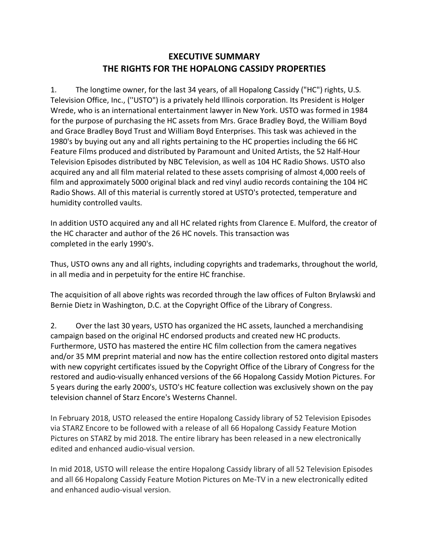## **EXECUTIVE SUMMARY THE RIGHTS FOR THE HOPALONG CASSIDY PROPERTIES**

1. The longtime owner, for the last 34 years, of all Hopalong Cassidy ("HC") rights, U.S. Television Office, Inc., (''USTO") is a privately held Illinois corporation. Its President is Holger Wrede, who is an international entertainment lawyer in New York. USTO was formed in 1984 for the purpose of purchasing the HC assets from Mrs. Grace Bradley Boyd, the William Boyd and Grace Bradley Boyd Trust and William Boyd Enterprises. This task was achieved in the 1980's by buying out any and all rights pertaining to the HC properties including the 66 HC Feature Films produced and distributed by Paramount and United Artists, the 52 Half-Hour Television Episodes distributed by NBC Television, as well as 104 HC Radio Shows. USTO also acquired any and all film material related to these assets comprising of almost 4,000 reels of film and approximately 5000 original black and red vinyl audio records containing the 104 HC Radio Shows. All of this material is currently stored at USTO's protected, temperature and humidity controlled vaults.

In addition USTO acquired any and all HC related rights from Clarence E. Mulford, the creator of the HC character and author of the 26 HC novels. This transaction was completed in the early 1990's.

Thus, USTO owns any and all rights, including copyrights and trademarks, throughout the world, in all media and in perpetuity for the entire HC franchise.

The acquisition of all above rights was recorded through the law offices of Fulton Brylawski and Bernie Dietz in Washington, D.C. at the Copyright Office of the Library of Congress.

2. Over the last 30 years, USTO has organized the HC assets, launched a merchandising campaign based on the original HC endorsed products and created new HC products. Furthermore, USTO has mastered the entire HC film collection from the camera negatives and/or 35 MM preprint material and now has the entire collection restored onto digital masters with new copyright certificates issued by the Copyright Office of the Library of Congress for the restored and audio-visually enhanced versions of the 66 Hopalong Cassidy Motion Pictures. For 5 years during the early 2000's, USTO's HC feature collection was exclusively shown on the pay television channel of Starz Encore's Westerns Channel.

In February 2018, USTO released the entire Hopalong Cassidy library of 52 Television Episodes via STARZ Encore to be followed with a release of all 66 Hopalong Cassidy Feature Motion Pictures on STARZ by mid 2018. The entire library has been released in a new electronically edited and enhanced audio-visual version.

In mid 2018, USTO will release the entire Hopalong Cassidy library of all 52 Television Episodes and all 66 Hopalong Cassidy Feature Motion Pictures on Me-TV in a new electronically edited and enhanced audio-visual version.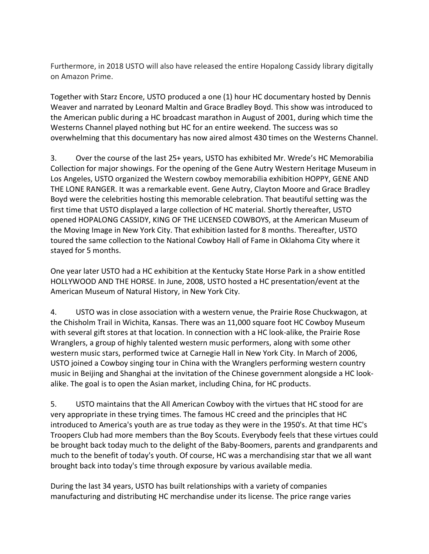Furthermore, in 2018 USTO will also have released the entire Hopalong Cassidy library digitally on Amazon Prime.

Together with Starz Encore, USTO produced a one (1) hour HC documentary hosted by Dennis Weaver and narrated by Leonard Maltin and Grace Bradley Boyd. This show was introduced to the American public during a HC broadcast marathon in August of 2001, during which time the Westerns Channel played nothing but HC for an entire weekend. The success was so overwhelming that this documentary has now aired almost 430 times on the Westerns Channel.

3. Over the course of the last 25+ years, USTO has exhibited Mr. Wrede's HC Memorabilia Collection for major showings. For the opening of the Gene Autry Western Heritage Museum in Los Angeles, USTO organized the Western cowboy memorabilia exhibition HOPPY, GENE AND THE LONE RANGER. It was a remarkable event. Gene Autry, Clayton Moore and Grace Bradley Boyd were the celebrities hosting this memorable celebration. That beautiful setting was the first time that USTO displayed a large collection of HC material. Shortly thereafter, USTO opened HOPALONG CASSIDY, KING OF THE LICENSED COWBOYS, at the American Museum of the Moving Image in New York City. That exhibition lasted for 8 months. Thereafter, USTO toured the same collection to the National Cowboy Hall of Fame in Oklahoma City where it stayed for 5 months.

One year later USTO had a HC exhibition at the Kentucky State Horse Park in a show entitled HOLLYWOOD AND THE HORSE. In June, 2008, USTO hosted a HC presentation/event at the American Museum of Natural History, in New York City.

4. USTO was in close association with a western venue, the Prairie Rose Chuckwagon, at the Chisholm Trail in Wichita, Kansas. There was an 11,000 square foot HC Cowboy Museum with several gift stores at that location. In connection with a HC look-alike, the Prairie Rose Wranglers, a group of highly talented western music performers, along with some other western music stars, performed twice at Carnegie Hall in New York City. In March of 2006, USTO joined a Cowboy singing tour in China with the Wranglers performing western country music in Beijing and Shanghai at the invitation of the Chinese government alongside a HC lookalike. The goal is to open the Asian market, including China, for HC products.

5. USTO maintains that the All American Cowboy with the virtues that HC stood for are very appropriate in these trying times. The famous HC creed and the principles that HC introduced to America's youth are as true today as they were in the 1950's. At that time HC's Troopers Club had more members than the Boy Scouts. Everybody feels that these virtues could be brought back today much to the delight of the Baby-Boomers, parents and grandparents and much to the benefit of today's youth. Of course, HC was a merchandising star that we all want brought back into today's time through exposure by various available media.

During the last 34 years, USTO has built relationships with a variety of companies manufacturing and distributing HC merchandise under its license. The price range varies